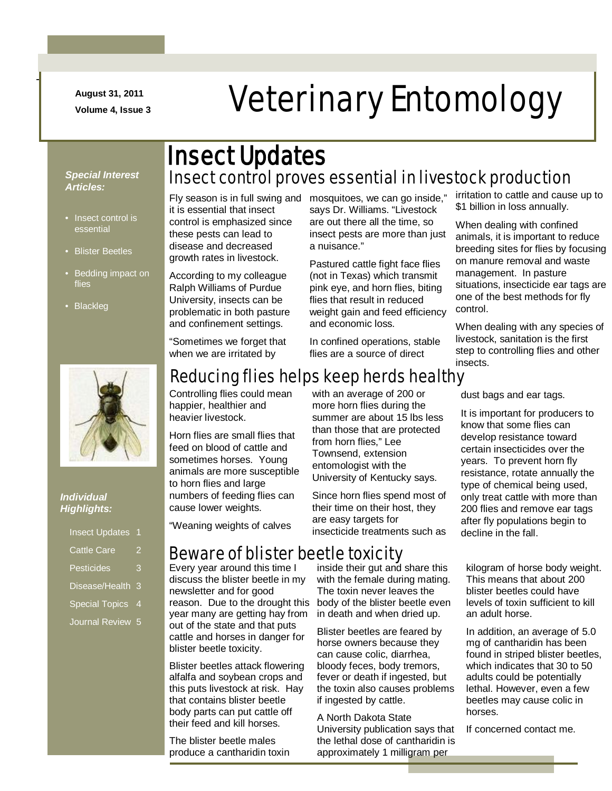**August 31, 2011**

-

# August 31, 2011<br>Volume 4, Issue 3<br> **Veterinary Entomology**

#### *Special Interest Articles:*

- Insect control is essential
- Blister Beetles
- Bedding impact on flies
- Blackleg



it is essential that insect control is emphasized since these pests can lead to disease and decreased growth rates in livestock.

According to my colleague Ralph Williams of Purdue University, insects can be problematic in both pasture and confinement settings.

"Sometimes we forget that

Fly season is in full swing and mosquitoes, we can go inside," says Dr. Williams. "Livestock are out there all the time, so insect pests are more than just a nuisance."

> Pastured cattle fight face flies (not in Texas) which transmit pink eye, and horn flies, biting flies that result in reduced weight gain and feed efficiency and economic loss.

In confined operations, stable flies are a source of direct

irritation to cattle and cause up to \$1 billion in loss annually.

When dealing with confined animals, it is important to reduce breeding sites for flies by focusing on manure removal and waste management. In pasture situations, insecticide ear tags are one of the best methods for fly control.

When dealing with any species of livestock, sanitation is the first step to controlling flies and other insects.



#### *Individual Highlights:*

| <b>Insect Updates</b> | 1 |
|-----------------------|---|
| <b>Cattle Care</b>    |   |
| <b>Pesticides</b>     | 3 |
| Disease/Health        | 3 |
| <b>Special Topics</b> | 4 |
| Journal Review        | 5 |

## Reducing flies helps keep herds healthy

Controlling flies could mean happier, healthier and heavier livestock.

when we are irritated by

Horn flies are small flies that feed on blood of cattle and sometimes horses. Young animals are more susceptible to horn flies and large numbers of feeding flies can cause lower weights.

"Weaning weights of calves

### Beware of blister beetle toxicity

Every year around this time I discuss the blister beetle in my newsletter and for good reason. Due to the drought this year many are getting hay from out of the state and that puts cattle and horses in danger for blister beetle toxicity.

Blister beetles attack flowering alfalfa and soybean crops and this puts livestock at risk. Hay that contains blister beetle body parts can put cattle off their feed and kill horses.

The blister beetle males produce a cantharidin toxin with an average of 200 or more horn flies during the summer are about 15 lbs less than those that are protected from horn flies," Lee Townsend, extension entomologist with the University of Kentucky says.

Since horn flies spend most of their time on their host, they are easy targets for insecticide treatments such as dust bags and ear tags.

It is important for producers to know that some flies can develop resistance toward certain insecticides over the years. To prevent horn fly resistance, rotate annually the type of chemical being used, only treat cattle with more than 200 flies and remove ear tags after fly populations begin to decline in the fall.

inside their gut and share this with the female during mating. The toxin never leaves the body of the blister beetle even in death and when dried up.

Blister beetles are feared by horse owners because they can cause colic, diarrhea, bloody feces, body tremors, fever or death if ingested, but the toxin also causes problems if ingested by cattle.

A North Dakota State University publication says that the lethal dose of cantharidin is approximately 1 milligram per

kilogram of horse body weight. This means that about 200 blister beetles could have levels of toxin sufficient to kill an adult horse.

In addition, an average of 5.0 mg of cantharidin has been found in striped blister beetles, which indicates that 30 to 50 adults could be potentially lethal. However, even a few beetles may cause colic in horses.

If concerned contact me.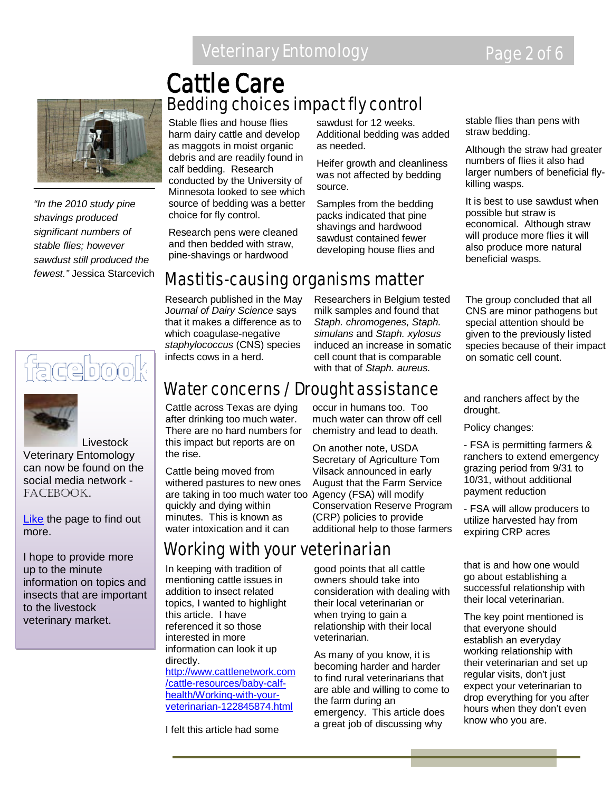## Veterinary Entomology Page 2 of 6



*"In the 2010 study pine shavings produced significant numbers of stable flies; however sawdust still produced the fewest."* Jessica Starcevich





**Livestock** Veterinary Entomology can now be found on the social media network - FACEBOOK.

[Like](http://www.facebook.com/home.php#!/pages/Livestock-Veterinary-Entomology/167510926643206) the page to find out more.

I hope to provide more up to the minute information on topics and insects that are important to the livestock veterinary market.

## Bedding choices impact fly control Cattle Care

Stable flies and house flies harm dairy cattle and develop as maggots in moist organic debris and are readily found in calf bedding. Research conducted by the University of Minnesota looked to see which source of bedding was a better choice for fly control.

Research pens were cleaned

sawdust for 12 weeks. Additional bedding was added as needed.

Heifer growth and cleanliness was not affected by bedding source.

Samples from the bedding packs indicated that pine shavings and hardwood sawdust contained fewer developing house flies and

Researchers in Belgium tested milk samples and found that *Staph. chromogenes, Staph. simulans* and *Staph. xylosus* induced an increase in somatic cell count that is comparable with that of *Staph. aureus.* 

stable flies than pens with straw bedding.

Although the straw had greater numbers of flies it also had larger numbers of beneficial flykilling wasps.

It is best to use sawdust when possible but straw is economical. Although straw will produce more flies it will also produce more natural beneficial wasps.

The group concluded that all CNS are minor pathogens but special attention should be given to the previously listed species because of their impact on somatic cell count.

and ranchers affect by the drought.

Policy changes:

- FSA is permitting farmers & ranchers to extend emergency grazing period from 9/31 to 10/31, without additional payment reduction

- FSA will allow producers to utilize harvested hay from expiring CRP acres

that is and how one would go about establishing a successful relationship with their local veterinarian.

The key point mentioned is that everyone should establish an everyday working relationship with their veterinarian and set up regular visits, don't just expect your veterinarian to drop everything for you after hours when they don't even know who you are.

#### and then bedded with straw, pine-shavings or hardwood

Mastitis-causing organisms matter

Research published in the May J*ournal of Dairy Science* says that it makes a difference as to which coagulase-negative *staphylococcus* (CNS) species infects cows in a herd.

## Water concerns / Drought assistance

Cattle across Texas are dying after drinking too much water. There are no hard numbers for this impact but reports are on the rise.

Cattle being moved from withered pastures to new ones are taking in too much water too Agency (FSA) will modify quickly and dying within minutes. This is known as water intoxication and it can

## Working with your veterinarian

In keeping with tradition of mentioning cattle issues in addition to insect related topics, I wanted to highlight this article. I have referenced it so those interested in more information can look it up directly. [http://www.cattlenetwork.com](http://www.cattlenetwork.com/cattle-resources/baby-calf-health/Working-with-your-veterinarian-122845874.html)

[/cattle-resources/baby-calf](http://www.cattlenetwork.com/cattle-resources/baby-calf-health/Working-with-your-veterinarian-122845874.html)[health/Working-with-your](http://www.cattlenetwork.com/cattle-resources/baby-calf-health/Working-with-your-veterinarian-122845874.html)[veterinarian-122845874.html](http://www.cattlenetwork.com/cattle-resources/baby-calf-health/Working-with-your-veterinarian-122845874.html)

I felt this article had some

occur in humans too. Too much water can throw off cell chemistry and lead to death. On another note, USDA Secretary of Agriculture Tom

Vilsack announced in early August that the Farm Service Conservation Reserve Program (CRP) policies to provide additional help to those farmers

good points that all cattle owners should take into consideration with dealing with their local veterinarian or when trying to gain a relationship with their local veterinarian.

As many of you know, it is becoming harder and harder to find rural veterinarians that are able and willing to come to the farm during an emergency. This article does a great job of discussing why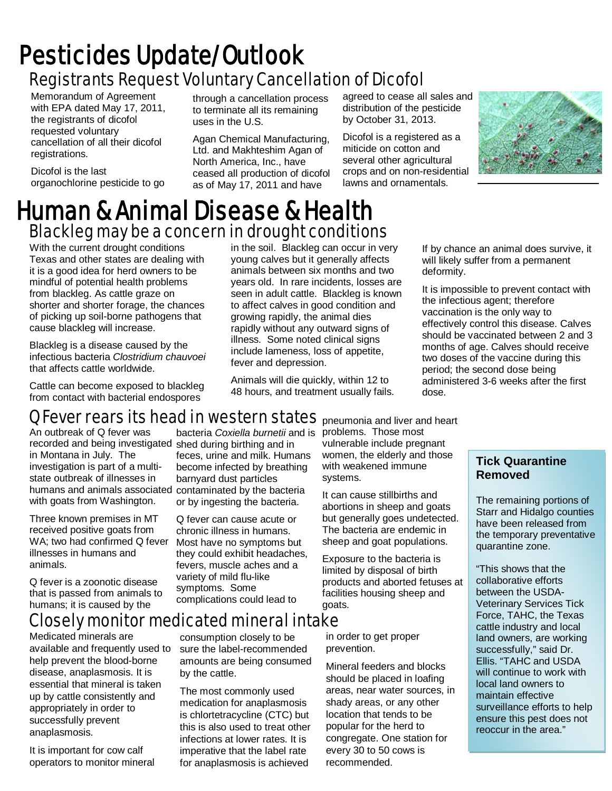## Registrants Request Voluntary Cancellation of Dicofol Pesticides Update/Outlook

Memorandum of Agreement with EPA dated May 17, 2011, the registrants of dicofol requested voluntary cancellation of all their dicofol registrations.

Dicofol is the last organochlorine pesticide to go through a cancellation process to terminate all its remaining uses in the U.S.

Agan Chemical Manufacturing, Ltd. and Makhteshim Agan of North America, Inc., have ceased all production of dicofol as of May 17, 2011 and have

agreed to cease all sales and distribution of the pesticide by October 31, 2013.

Dicofol is a registered as a miticide on cotton and several other agricultural crops and on non-residential lawns and ornamentals.



## Blackleg may be a concern in drought conditions Human & Animal Disease & Health

With the current drought conditions Texas and other states are dealing with it is a good idea for herd owners to be mindful of potential health problems from blackleg. As cattle graze on shorter and shorter forage, the chances of picking up soil-borne pathogens that cause blackleg will increase.

Blackleg is a disease caused by the infectious bacteria *Clostridium chauvoei* that affects cattle worldwide.

Cattle can become exposed to blackleg from contact with bacterial endospores

in the soil. Blackleg can occur in very young calves but it generally affects animals between six months and two years old. In rare incidents, losses are seen in adult cattle. Blackleg is known to affect calves in good condition and growing rapidly, the animal dies rapidly without any outward signs of illness. Some noted clinical signs include lameness, loss of appetite, fever and depression.

Animals will die quickly, within 12 to 48 hours, and treatment usually fails. If by chance an animal does survive, it will likely suffer from a permanent deformity.

It is impossible to prevent contact with the infectious agent; therefore vaccination is the only way to effectively control this disease. Calves should be vaccinated between 2 and 3 months of age. Calves should receive two doses of the vaccine during this period; the second dose being administered 3-6 weeks after the first dose.

## Q Fever rears its head in western states pneumonia and liver and heart

An outbreak of Q fever was recorded and being investigated shed during birthing and in in Montana in July. The investigation is part of a multistate outbreak of illnesses in humans and animals associated contaminated by the bacteria with goats from Washington.

Three known premises in MT received positive goats from WA; two had confirmed Q fever illnesses in humans and animals.

Q fever is a zoonotic disease that is passed from animals to humans; it is caused by the

## Closely monitor medicated mineral intake

by the cattle.

Medicated minerals are available and frequently used to help prevent the blood-borne disease, anaplasmosis. It is essential that mineral is taken up by cattle consistently and appropriately in order to successfully prevent anaplasmosis.

It is important for cow calf operators to monitor mineral bacteria *Coxiella burnetii* and is feces, urine and milk. Humans become infected by breathing barnyard dust particles or by ingesting the bacteria.

Q fever can cause acute or chronic illness in humans. Most have no symptoms but they could exhibit headaches, fevers, muscle aches and a variety of mild flu-like symptoms. Some complications could lead to

consumption closely to be sure the label-recommended amounts are being consumed

The most commonly used medication for anaplasmosis is chlortetracycline (CTC) but this is also used to treat other infections at lower rates. It is imperative that the label rate for anaplasmosis is achieved

problems. Those most vulnerable include pregnant women, the elderly and those with weakened immune systems.

It can cause stillbirths and abortions in sheep and goats but generally goes undetected. The bacteria are endemic in sheep and goat populations.

Exposure to the bacteria is limited by disposal of birth products and aborted fetuses at facilities housing sheep and goats.

in order to get proper prevention.

Mineral feeders and blocks should be placed in loafing areas, near water sources, in shady areas, or any other location that tends to be popular for the herd to congregate. One station for every 30 to 50 cows is recommended.

#### **Tick Quarantine Removed**

The remaining portions of Starr and Hidalgo counties have been released from the temporary preventative quarantine zone.

"This shows that the collaborative efforts between the USDA-Veterinary Services Tick Force, TAHC, the Texas cattle industry and local land owners, are working successfully," said Dr. Ellis. "TAHC and USDA will continue to work with local land owners to maintain effective surveillance efforts to help ensure this pest does not reoccur in the area."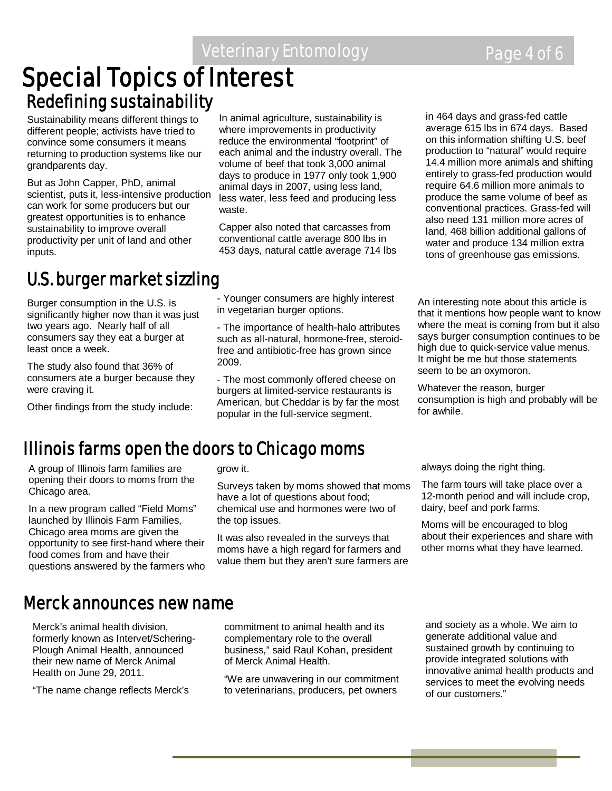Veterinary Entomology **Page 4 of 6** 

# **Special Topics of Interest Redefining sustainability**

Sustainability means different things to different people; activists have tried to convince some consumers it means returning to production systems like our grandparents day.

But as John Capper, PhD, animal scientist, puts it, less-intensive production can work for some producers but our greatest opportunities is to enhance sustainability to improve overall productivity per unit of land and other inputs.

## U.S. burger market sizzling

Burger consumption in the U.S. is significantly higher now than it was just two years ago. Nearly half of all consumers say they eat a burger at least once a week.

The study also found that 36% of consumers ate a burger because they were craving it.

Other findings from the study include:

In animal agriculture, sustainability is where improvements in productivity reduce the environmental "footprint" of each animal and the industry overall. The volume of beef that took 3,000 animal days to produce in 1977 only took 1,900 animal days in 2007, using less land, less water, less feed and producing less waste.

Capper also noted that carcasses from conventional cattle average 800 lbs in 453 days, natural cattle average 714 lbs

- Younger consumers are highly interest in vegetarian burger options.

- The importance of health-halo attributes such as all-natural, hormone-free, steroidfree and antibiotic-free has grown since 2009.

- The most commonly offered cheese on burgers at limited-service restaurants is American, but Cheddar is by far the most popular in the full-service segment.

in 464 days and grass-fed cattle average 615 lbs in 674 days. Based on this information shifting U.S. beef production to "natural" would require 14.4 million more animals and shifting entirely to grass-fed production would require 64.6 million more animals to produce the same volume of beef as conventional practices. Grass-fed will also need 131 million more acres of land, 468 billion additional gallons of water and produce 134 million extra tons of greenhouse gas emissions.

An interesting note about this article is that it mentions how people want to know where the meat is coming from but it also says burger consumption continues to be high due to quick-service value menus. It might be me but those statements seem to be an oxymoron.

Whatever the reason, burger consumption is high and probably will be for awhile.

## Illinois farms open the doors to Chicago moms

A group of Illinois farm families are opening their doors to moms from the Chicago area.

In a new program called "Field Moms" launched by Illinois Farm Families, Chicago area moms are given the opportunity to see first-hand where their food comes from and have their questions answered by the farmers who

#### grow it.

Surveys taken by moms showed that moms have a lot of questions about food; chemical use and hormones were two of the top issues.

It was also revealed in the surveys that moms have a high regard for farmers and value them but they aren't sure farmers are always doing the right thing.

The farm tours will take place over a 12-month period and will include crop, dairy, beef and pork farms.

Moms will be encouraged to blog about their experiences and share with other moms what they have learned.

### Merck announces new name

Merck's animal health division, formerly known as Intervet/Schering-Plough Animal Health, announced their new name of Merck Animal Health on June 29, 2011.

"The name change reflects Merck's

commitment to animal health and its complementary role to the overall business," said Raul Kohan, president of Merck Animal Health.

"We are unwavering in our commitment to veterinarians, producers, pet owners

and society as a whole. We aim to generate additional value and sustained growth by continuing to provide integrated solutions with innovative animal health products and services to meet the evolving needs of our customers."

i

l.

Ĩ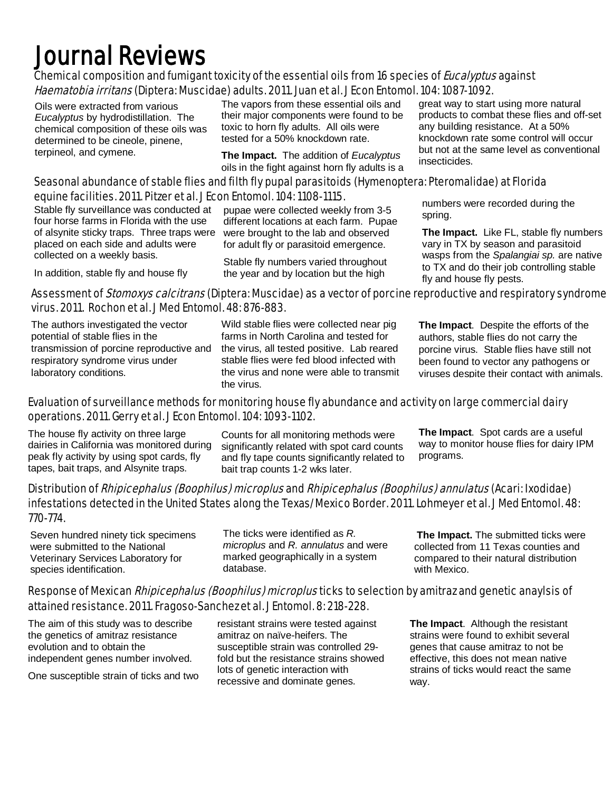## Journal Reviews

#### Chemical composition and fumigant toxicity of the essential oils from 16 species of *Eucalyptus* against Haematobia irritans (Diptera: Muscidae) adults. 2011. Juan et al. J Econ Entomol. 104: 1087-1092.

Oils were extracted from various *Eucalyptus* by hydrodistillation. The chemical composition of these oils was determined to be cineole, pinene, terpineol, and cymene.

The vapors from these essential oils and their major components were found to be toxic to horn fly adults. All oils were tested for a 50% knockdown rate.

**The Impact.** The addition of *Eucalyptus*  oils in the fight against horn fly adults is a great way to start using more natural products to combat these flies and off-set any building resistance. At a 50% knockdown rate some control will occur but not at the same level as conventional insecticides.

#### Seasonal abundance of stable flies and filth fly pupal parasitoids (Hymenoptera: Pteromalidae) at Florida equine facilities. 2011. Pitzer et al. J Econ Entomol. 104: 1108-1115.

Stable fly surveillance was conducted at four horse farms in Florida with the use of alsynite sticky traps. Three traps were placed on each side and adults were collected on a weekly basis.

In addition, stable fly and house fly

pupae were collected weekly from 3-5 different locations at each farm. Pupae were brought to the lab and observed for adult fly or parasitoid emergence.

Stable fly numbers varied throughout the year and by location but the high

numbers were recorded during the spring.

**The Impact.** Like FL, stable fly numbers vary in TX by season and parasitoid wasps from the *Spalangiai sp.* are native to TX and do their job controlling stable fly and house fly pests.

#### Assessment of *Stomoxys calcitrans* (Diptera: Muscidae) as a vector of porcine reproductive and respiratory syndrome virus. 2011. Rochon et al. J Med Entomol. 48: 876-883.

The authors investigated the vector potential of stable flies in the transmission of porcine reproductive and respiratory syndrome virus under laboratory conditions.

Wild stable flies were collected near pig farms in North Carolina and tested for the virus, all tested positive. Lab reared stable flies were fed blood infected with the virus and none were able to transmit the virus.

**The Impact**. Despite the efforts of the authors, stable flies do not carry the porcine virus. Stable flies have still not been found to vector any pathogens or viruses despite their contact with animals.

#### Evaluation of surveillance methods for monitoring house fly abundance and activity on large commercial dairy operations. 2011. Gerry et al. J Econ Entomol. 104: 1093-1102.

The house fly activity on three large dairies in California was monitored during peak fly activity by using spot cards, fly tapes, bait traps, and Alsynite traps.

Counts for all monitoring methods were significantly related with spot card counts and fly tape counts significantly related to bait trap counts 1-2 wks later.

**The Impact**. Spot cards are a useful way to monitor house flies for dairy IPM programs.

#### Distribution of Rhipicephalus (Boophilus) microplus and Rhipicephalus (Boophilus) annulatus (Acari: Ixodidae) infestations detected in the United States along the Texas/Mexico Border. 2011. Lohmeyer et al. J Med Entomol. 48: 770-774.

Seven hundred ninety tick specimens were submitted to the National Veterinary Services Laboratory for species identification.

The ticks were identified as *R. microplus* and *R. annulatus* and were marked geographically in a system database.

**The Impact.** The submitted ticks were collected from 11 Texas counties and compared to their natural distribution with Mexico.

#### Response of Mexican *Rhipicephalus (Boophilus) microplus* ticks to selection by amitraz and genetic anaylsis of attained resistance. 2011. Fragoso-Sanchez et al. J Entomol. 8: 218-228.

The aim of this study was to describe the genetics of amitraz resistance evolution and to obtain the independent genes number involved.

One susceptible strain of ticks and two

resistant strains were tested against amitraz on naïve-heifers. The susceptible strain was controlled 29 fold but the resistance strains showed lots of genetic interaction with recessive and dominate genes.

**The Impact**. Although the resistant strains were found to exhibit several genes that cause amitraz to not be effective, this does not mean native strains of ticks would react the same way.